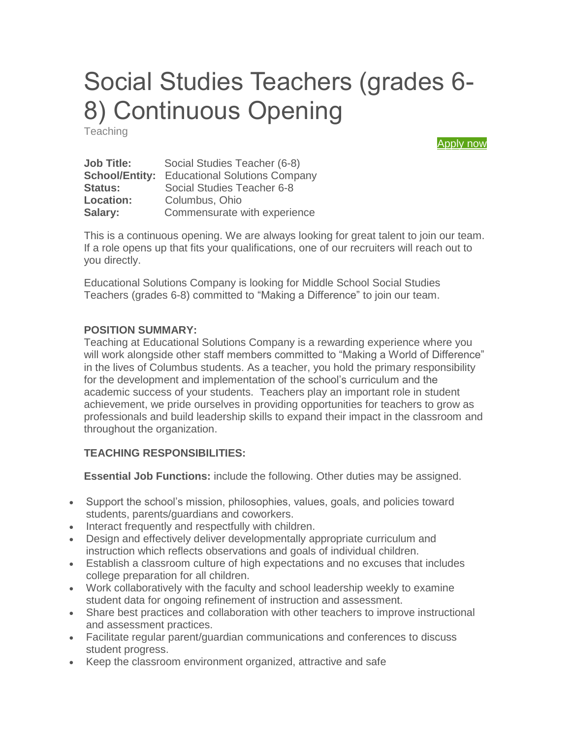# Social Studies Teachers (grades 6- 8) Continuous Opening

**Teaching** 

[Apply now](https://form.jotform.com/61095133228148)

| <b>Job Title:</b>     | Social Studies Teacher (6-8)         |
|-----------------------|--------------------------------------|
| <b>School/Entity:</b> | <b>Educational Solutions Company</b> |
| <b>Status:</b>        | Social Studies Teacher 6-8           |
| <b>Location:</b>      | Columbus, Ohio                       |
| Salary:               | Commensurate with experience         |

This is a continuous opening. We are always looking for great talent to join our team. If a role opens up that fits your qualifications, one of our recruiters will reach out to you directly.

Educational Solutions Company is looking for Middle School Social Studies Teachers (grades 6-8) committed to "Making a Difference" to join our team.

#### **POSITION SUMMARY:**

Teaching at Educational Solutions Company is a rewarding experience where you will work alongside other staff members committed to "Making a World of Difference" in the lives of Columbus students. As a teacher, you hold the primary responsibility for the development and implementation of the school's curriculum and the academic success of your students. Teachers play an important role in student achievement, we pride ourselves in providing opportunities for teachers to grow as professionals and build leadership skills to expand their impact in the classroom and throughout the organization.

#### **TEACHING RESPONSIBILITIES:**

**Essential Job Functions:** include the following. Other duties may be assigned.

- Support the school's mission, philosophies, values, goals, and policies toward students, parents/guardians and coworkers.
- Interact frequently and respectfully with children.
- Design and effectively deliver developmentally appropriate curriculum and instruction which reflects observations and goals of individual children.
- Establish a classroom culture of high expectations and no excuses that includes college preparation for all children.
- Work collaboratively with the faculty and school leadership weekly to examine student data for ongoing refinement of instruction and assessment.
- Share best practices and collaboration with other teachers to improve instructional and assessment practices.
- Facilitate regular parent/guardian communications and conferences to discuss student progress.
- Keep the classroom environment organized, attractive and safe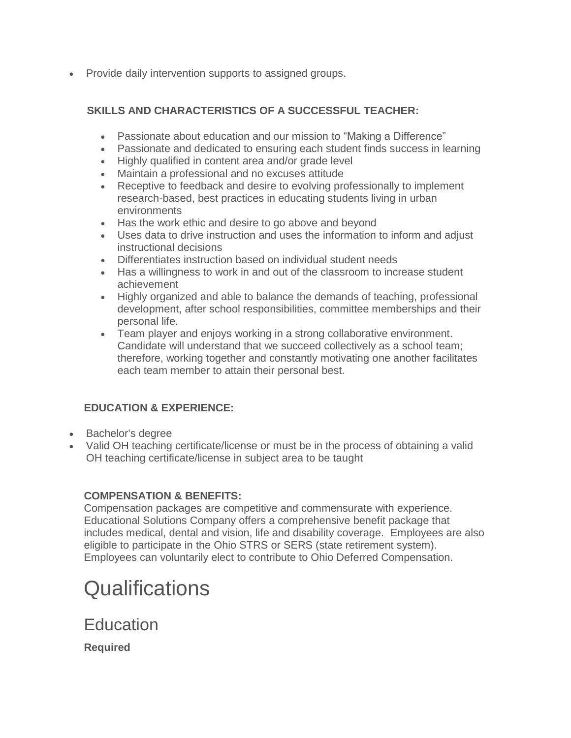• Provide daily intervention supports to assigned groups.

#### **SKILLS AND CHARACTERISTICS OF A SUCCESSFUL TEACHER:**

- Passionate about education and our mission to "Making a Difference"
- Passionate and dedicated to ensuring each student finds success in learning
- Highly qualified in content area and/or grade level
- Maintain a professional and no excuses attitude
- Receptive to feedback and desire to evolving professionally to implement research-based, best practices in educating students living in urban environments
- Has the work ethic and desire to go above and beyond
- Uses data to drive instruction and uses the information to inform and adjust instructional decisions
- Differentiates instruction based on individual student needs
- Has a willingness to work in and out of the classroom to increase student achievement
- Highly organized and able to balance the demands of teaching, professional development, after school responsibilities, committee memberships and their personal life.
- Team player and enjoys working in a strong collaborative environment. Candidate will understand that we succeed collectively as a school team; therefore, working together and constantly motivating one another facilitates each team member to attain their personal best.

#### **EDUCATION & EXPERIENCE:**

- Bachelor's degree
- Valid OH teaching certificate/license or must be in the process of obtaining a valid OH teaching certificate/license in subject area to be taught

#### **COMPENSATION & BENEFITS:**

Compensation packages are competitive and commensurate with experience. Educational Solutions Company offers a comprehensive benefit package that includes medical, dental and vision, life and disability coverage. Employees are also eligible to participate in the Ohio STRS or SERS (state retirement system). Employees can voluntarily elect to contribute to Ohio Deferred Compensation.

## **Qualifications**

**Education** 

**Required**